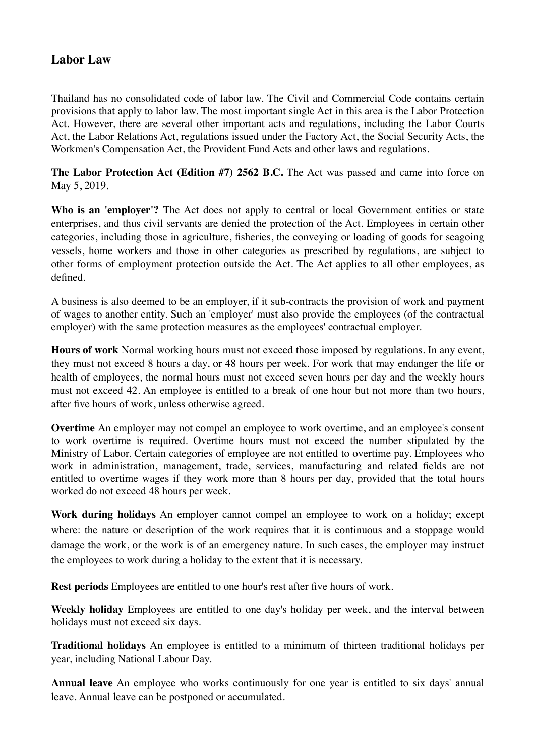## **Labor Law**

Thailand has no consolidated code of labor law. The Civil and Commercial Code contains certain provisions that apply to labor law. The most important single Act in this area is the Labor Protection Act. However, there are several other important acts and regulations, including the Labor Courts Act, the Labor Relations Act, regulations issued under the Factory Act, the Social Security Acts, the Workmen's Compensation Act, the Provident Fund Acts and other laws and regulations.

**The Labor Protection Act (Edition #7) 2562 B.C.** The Act was passed and came into force on May 5, 2019.

Who is an 'employer'? The Act does not apply to central or local Government entities or state enterprises, and thus civil servants are denied the protection of the Act. Employees in certain other categories, including those in agriculture, fisheries, the conveying or loading of goods for seagoing vessels, home workers and those in other categories as prescribed by regulations, are subject to other forms of employment protection outside the Act. The Act applies to all other employees, as defined.

A business is also deemed to be an employer, if it sub-contracts the provision of work and payment of wages to another entity. Such an 'employer' must also provide the employees (of the contractual employer) with the same protection measures as the employees' contractual employer.

**Hours of work** Normal working hours must not exceed those imposed by regulations. In any event, they must not exceed 8 hours a day, or 48 hours per week. For work that may endanger the life or health of employees, the normal hours must not exceed seven hours per day and the weekly hours must not exceed 42. An employee is entitled to a break of one hour but not more than two hours, after five hours of work, unless otherwise agreed.

**Overtime** An employer may not compel an employee to work overtime, and an employee's consent to work overtime is required. Overtime hours must not exceed the number stipulated by the Ministry of Labor. Certain categories of employee are not entitled to overtime pay. Employees who work in administration, management, trade, services, manufacturing and related fields are not entitled to overtime wages if they work more than 8 hours per day, provided that the total hours worked do not exceed 48 hours per week.

**Work during holidays** An employer cannot compel an employee to work on a holiday; except where: the nature or description of the work requires that it is continuous and a stoppage would damage the work, or the work is of an emergency nature. In such cases, the employer may instruct the employees to work during a holiday to the extent that it is necessary.

**Rest periods** Employees are entitled to one hour's rest after five hours of work.

**Weekly holiday** Employees are entitled to one day's holiday per week, and the interval between holidays must not exceed six days.

**Traditional holidays** An employee is entitled to a minimum of thirteen traditional holidays per year, including National Labour Day.

**Annual leave** An employee who works continuously for one year is entitled to six days' annual leave. Annual leave can be postponed or accumulated.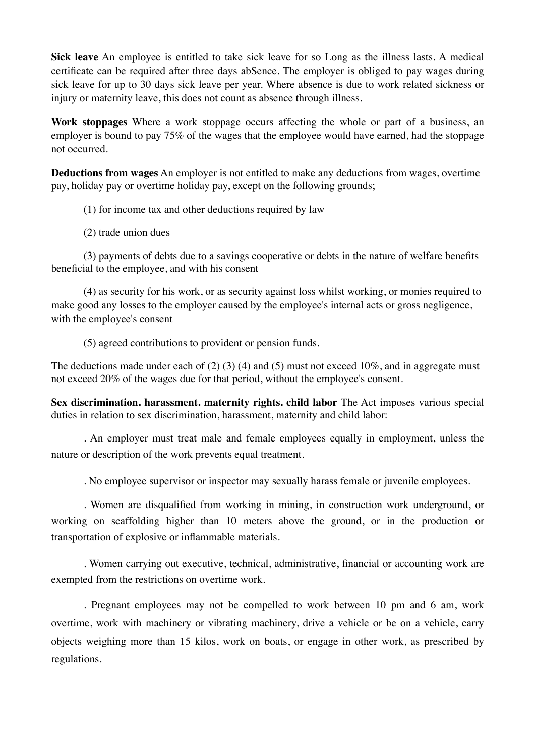**Sick leave** An employee is entitled to take sick leave for so Long as the illness lasts. A medical certificate can be required after three days abSence. The employer is obliged to pay wages during sick leave for up to 30 days sick leave per year. Where absence is due to work related sickness or injury or maternity leave, this does not count as absence through illness.

**Work stoppages** Where a work stoppage occurs affecting the whole or part of a business, an employer is bound to pay 75% of the wages that the employee would have earned, had the stoppage not occurred.

**Deductions from wages** An employer is not entitled to make any deductions from wages, overtime pay, holiday pay or overtime holiday pay, except on the following grounds;

- (1) for income tax and other deductions required by law
- (2) trade union dues

(3) payments of debts due to a savings cooperative or debts in the nature of welfare benefits beneficial to the employee, and with his consent

(4) as security for his work, or as security against loss whilst working, or monies required to make good any losses to the employer caused by the employee's internal acts or gross negligence, with the employee's consent

(5) agreed contributions to provident or pension funds.

The deductions made under each of  $(2)$   $(3)$   $(4)$  and  $(5)$  must not exceed 10%, and in aggregate must not exceed 20% of the wages due for that period, without the employee's consent.

**Sex discrimination. harassment. maternity rights. child labor** The Act imposes various special duties in relation to sex discrimination, harassment, maternity and child labor:

. An employer must treat male and female employees equally in employment, unless the nature or description of the work prevents equal treatment.

. No employee supervisor or inspector may sexually harass female or juvenile employees.

. Women are disqualified from working in mining, in construction work underground, or working on scaffolding higher than 10 meters above the ground, or in the production or transportation of explosive or inflammable materials.

. Women carrying out executive, technical, administrative, financial or accounting work are exempted from the restrictions on overtime work.

. Pregnant employees may not be compelled to work between 10 pm and 6 am, work overtime, work with machinery or vibrating machinery, drive a vehicle or be on a vehicle, carry objects weighing more than 15 kilos, work on boats, or engage in other work, as prescribed by regulations.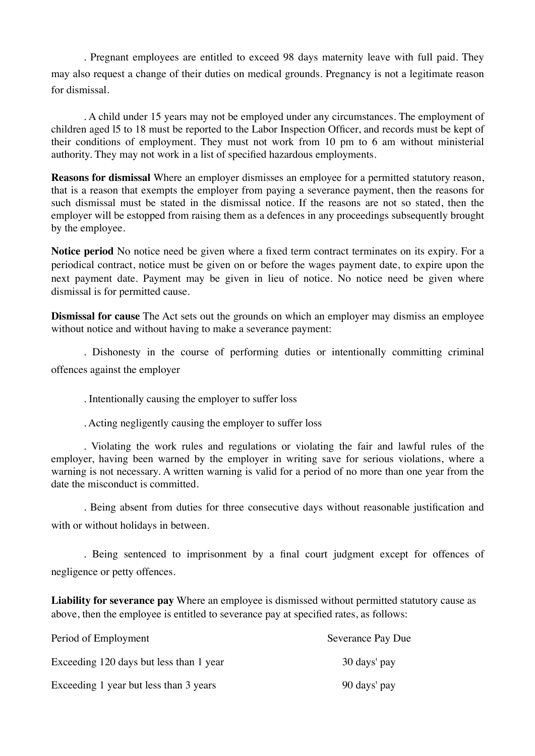. Pregnant employees are entitled to exceed 98 days maternity leave with full paid. They may also request a change of their duties on medical grounds. Pregnancy is not a legitimate reason for dismissal.

. A child under 15 years may not be employed under any circumstances. The employment of children aged l5 to 18 must be reported to the Labor Inspection Officer, and records must be kept of their conditions of employment. They must not work from 10 pm to 6 am without ministerial authority. They may not work in a list of specified hazardous employments.

**Reasons for dismissal** Where an employer dismisses an employee for a permitted statutory reason, that is a reason that exempts the employer from paying a severance payment, then the reasons for such dismissal must be stated in the dismissal notice. If the reasons are not so stated, then the employer will be estopped from raising them as a defences in any proceedings subsequently brought by the employee.

**Notice period** No notice need be given where a fixed term contract terminates on its expiry. For a periodical contract, notice must be given on or before the wages payment date, to expire upon the next payment date. Payment may be given in lieu of notice. No notice need be given where dismissal is for permitted cause.

**Dismissal for cause** The Act sets out the grounds on which an employer may dismiss an employee without notice and without having to make a severance payment:

. Dishonesty in the course of performing duties or intentionally committing criminal offences against the employer

. Intentionally causing the employer to suffer loss

. Acting negligently causing the employer to suffer loss

. Violating the work rules and regulations or violating the fair and lawful rules of the employer, having been warned by the employer in writing save for serious violations, where a warning is not necessary. A written warning is valid for a period of no more than one year from the date the misconduct is committed.

. Being absent from duties for three consecutive days without reasonable justification and with or without holidays in between.

. Being sentenced to imprisonment by a final court judgment except for offences of negligence or petty offences.

**Liability for severance pay** Where an employee is dismissed without permitted statutory cause as above, then the employee is entitled to severance pay at specified rates, as follows:

| Period of Employment                    | <b>Severance Pay Due</b> |
|-----------------------------------------|--------------------------|
| Exceeding 120 days but less than 1 year | 30 days' pay             |
| Exceeding 1 year but less than 3 years  | 90 days' pay             |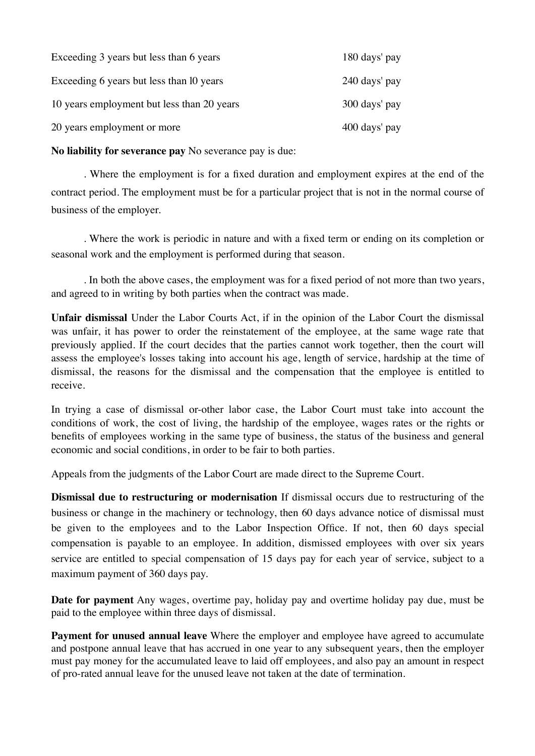| Exceeding 3 years but less than 6 years    | 180 days' pay |
|--------------------------------------------|---------------|
| Exceeding 6 years but less than 10 years   | 240 days' pay |
| 10 years employment but less than 20 years | 300 days' pay |
| 20 years employment or more                | 400 days' pay |

**No liability for severance pay** No severance pay is due:

. Where the employment is for a fixed duration and employment expires at the end of the contract period. The employment must be for a particular project that is not in the normal course of business of the employer.

. Where the work is periodic in nature and with a fixed term or ending on its completion or seasonal work and the employment is performed during that season.

. In both the above cases, the employment was for a fixed period of not more than two years, and agreed to in writing by both parties when the contract was made.

**Unfair dismissal** Under the Labor Courts Act, if in the opinion of the Labor Court the dismissal was unfair, it has power to order the reinstatement of the employee, at the same wage rate that previously applied. If the court decides that the parties cannot work together, then the court will assess the employee's losses taking into account his age, length of service, hardship at the time of dismissal, the reasons for the dismissal and the compensation that the employee is entitled to receive.

In trying a case of dismissal or-other labor case, the Labor Court must take into account the conditions of work, the cost of living, the hardship of the employee, wages rates or the rights or benefits of employees working in the same type of business, the status of the business and general economic and social conditions, in order to be fair to both parties.

Appeals from the judgments of the Labor Court are made direct to the Supreme Court.

**Dismissal due to restructuring or modernisation** If dismissal occurs due to restructuring of the business or change in the machinery or technology, then 60 days advance notice of dismissal must be given to the employees and to the Labor Inspection Office. If not, then 60 days special compensation is payable to an employee. In addition, dismissed employees with over six years service are entitled to special compensation of 15 days pay for each year of service, subject to a maximum payment of 360 days pay.

**Date for payment** Any wages, overtime pay, holiday pay and overtime holiday pay due, must be paid to the employee within three days of dismissal.

**Payment for unused annual leave** Where the employer and employee have agreed to accumulate and postpone annual leave that has accrued in one year to any subsequent years, then the employer must pay money for the accumulated leave to laid off employees, and also pay an amount in respect of pro-rated annual leave for the unused leave not taken at the date of termination.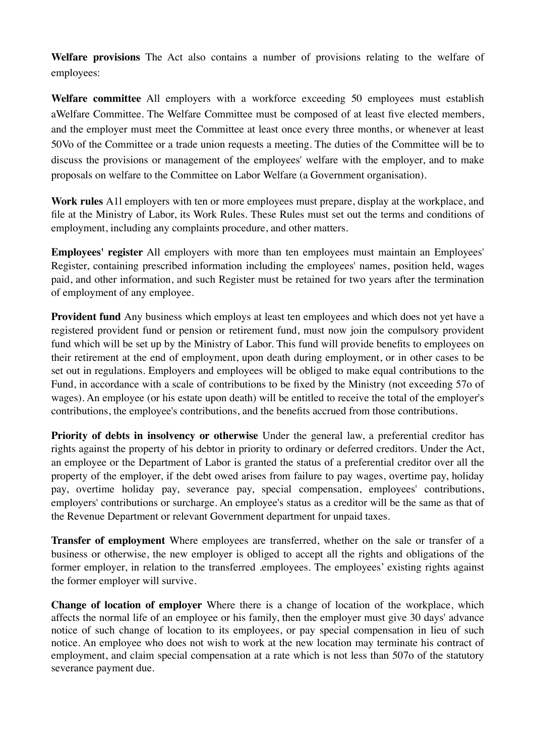**Welfare provisions** The Act also contains a number of provisions relating to the welfare of employees:

**Welfare committee** All employers with a workforce exceeding 50 employees must establish aWelfare Committee. The Welfare Committee must be composed of at least five elected members, and the employer must meet the Committee at least once every three months, or whenever at least 50Vo of the Committee or a trade union requests a meeting. The duties of the Committee will be to discuss the provisions or management of the employees' welfare with the employer, and to make proposals on welfare to the Committee on Labor Welfare (a Government organisation).

**Work rules** A1l employers with ten or more employees must prepare, display at the workplace, and file at the Ministry of Labor, its Work Rules. These Rules must set out the terms and conditions of employment, including any complaints procedure, and other matters.

**Employees' register** All employers with more than ten employees must maintain an Employees' Register, containing prescribed information including the employees' names, position held, wages paid, and other information, and such Register must be retained for two years after the termination of employment of any employee.

**Provident fund** Any business which employs at least ten employees and which does not yet have a registered provident fund or pension or retirement fund, must now join the compulsory provident fund which will be set up by the Ministry of Labor. This fund will provide benefits to employees on their retirement at the end of employment, upon death during employment, or in other cases to be set out in regulations. Employers and employees will be obliged to make equal contributions to the Fund, in accordance with a scale of contributions to be fixed by the Ministry (not exceeding 57o of wages). An employee (or his estate upon death) will be entitled to receive the total of the employer's contributions, the employee's contributions, and the benefits accrued from those contributions.

**Priority of debts in insolvency or otherwise** Under the general law, a preferential creditor has rights against the property of his debtor in priority to ordinary or deferred creditors. Under the Act, an employee or the Department of Labor is granted the status of a preferential creditor over all the property of the employer, if the debt owed arises from failure to pay wages, overtime pay, holiday pay, overtime holiday pay, severance pay, special compensation, employees' contributions, employers' contributions or surcharge. An employee's status as a creditor will be the same as that of the Revenue Department or relevant Government department for unpaid taxes.

**Transfer of employment** Where employees are transferred, whether on the sale or transfer of a business or otherwise, the new employer is obliged to accept all the rights and obligations of the former employer, in relation to the transferred .employees. The employees' existing rights against the former employer will survive.

**Change of location of employer** Where there is a change of location of the workplace, which affects the normal life of an employee or his family, then the employer must give 30 days' advance notice of such change of location to its employees, or pay special compensation in lieu of such notice. An employee who does not wish to work at the new location may terminate his contract of employment, and claim special compensation at a rate which is not less than 507o of the statutory severance payment due.